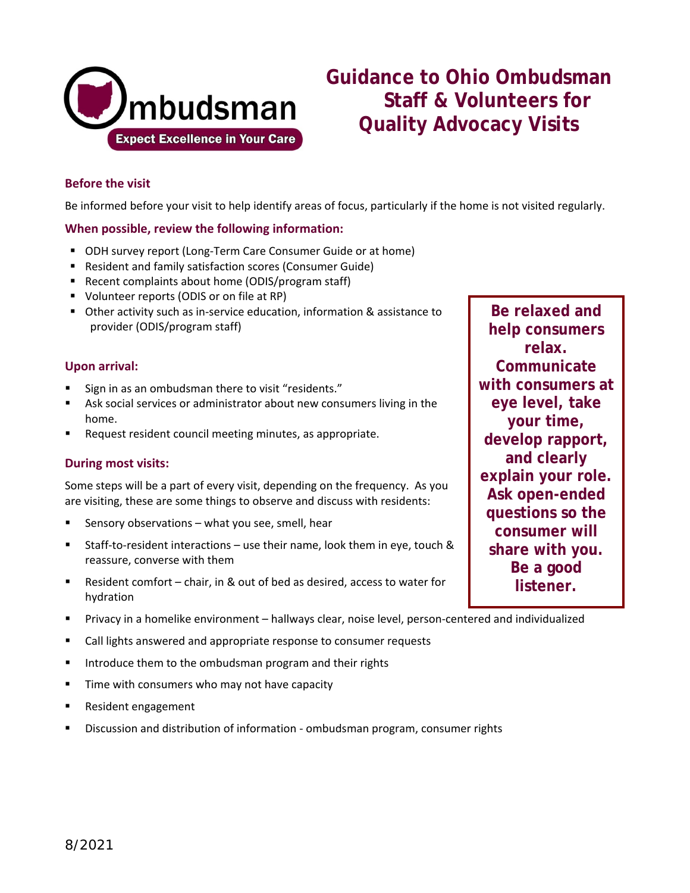

# **Guidance to Ohio Ombudsman Staff & Volunteers for Quality Advocacy Visits**

# **Before the visit**

Be informed before your visit to help identify areas of focus, particularly if the home is not visited regularly.

#### **When possible, review the following information:**

- ODH survey report (Long-Term Care Consumer Guide or at home)
- **Resident and family satisfaction scores (Consumer Guide)**
- Recent complaints about home (ODIS/program staff)
- **Volunteer reports (ODIS or on file at RP)**
- Other activity such as in-service education, information & assistance to provider (ODIS/program staff)

#### **Upon arrival:**

- Sign in as an ombudsman there to visit "residents."
- Ask social services or administrator about new consumers living in the home.
- Request resident council meeting minutes, as appropriate.

#### **During most visits:**

Some steps will be a part of every visit, depending on the frequency. As you are visiting, these are some things to observe and discuss with residents:

- Sensory observations what you see, smell, hear
- Staff-to-resident interactions use their name, look them in eye, touch & reassure, converse with them
- Resident comfort chair, in & out of bed as desired, access to water for hydration
- Privacy in a homelike environment hallways clear, noise level, person-centered and individualized
- Call lights answered and appropriate response to consumer requests
- **IF** Introduce them to the ombudsman program and their rights
- Time with consumers who may not have capacity
- Resident engagement
- Discussion and distribution of information ombudsman program, consumer rights

**Be relaxed and help consumers relax. Communicate with consumers at eye level, take your time, develop rapport, and clearly explain your role. Ask open-ended questions so the consumer will share with you. Be a good listener.**